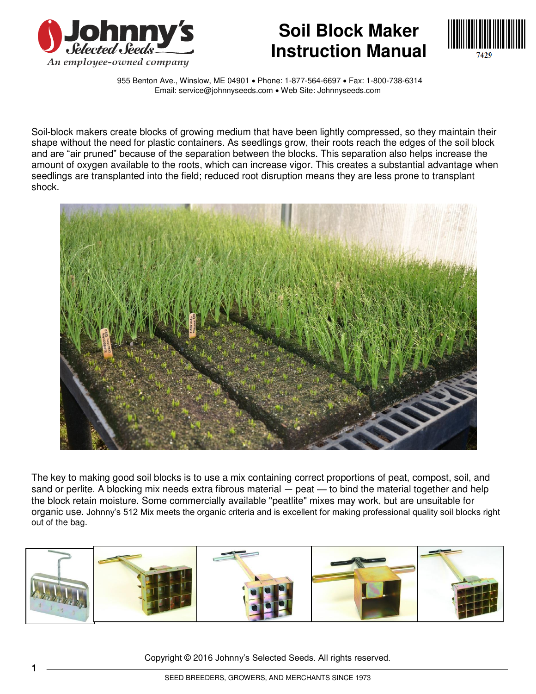

## **Soil Block Maker Instruction Manual**



955 Benton Ave., Winslow, ME 04901 • Phone: 1-877-564-6697 • Fax: 1-800-738-6314 Email: service@johnnyseeds.com . Web Site: Johnnyseeds.com

Soil-block makers create blocks of growing medium that have been lightly compressed, so they maintain their shape without the need for plastic containers. As seedlings grow, their roots reach the edges of the soil block and are "air pruned" because of the separation between the blocks. This separation also helps increase the amount of oxygen available to the roots, which can increase vigor. This creates a substantial advantage when seedlings are transplanted into the field; reduced root disruption means they are less prone to transplant shock.



The key to making good soil blocks is to use a mix containing correct proportions of peat, compost, soil, and sand or perlite. A blocking mix needs extra fibrous material – peat – to bind the material together and help the block retain moisture. Some commercially available "peatlite" mixes may work, but are unsuitable for organic use. Johnny's 512 Mix meets the organic criteria and is excellent for making professional quality soil blocks right out of the bag.



Copyright © 2016 Johnny's Selected Seeds. All rights reserved.